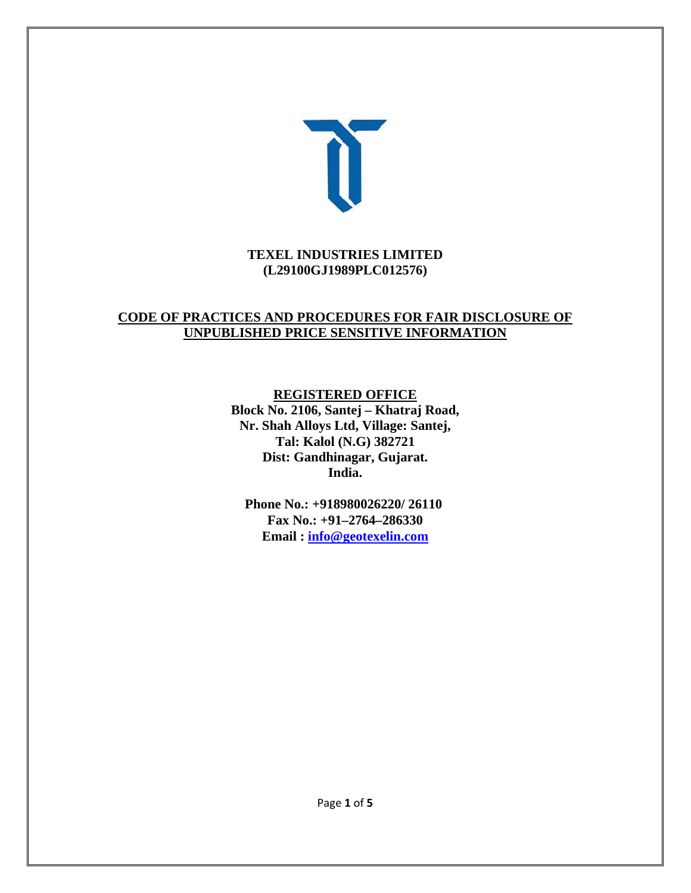

#### **TEXEL INDUSTRIES LIMITED (L29100GJ1989PLC012576)**

# **CODE OF PRACTICES AND PROCEDURES FOR FAIR DISCLOSURE OF UNPUBLISHED PRICE SENSITIVE INFORMATION**

**REGISTERED OFFICE** 

**Block No. 2106, Santej – Khatraj Road, Nr. Shah Alloys Ltd, Village: Santej, Tal: Kalol (N.G) 382721 Dist: Gandhinagar, Gujarat. India.** 

**Phone No.: +918980026220/ 26110 Fax No.: +91–2764–286330 Email : info@geotexelin.com**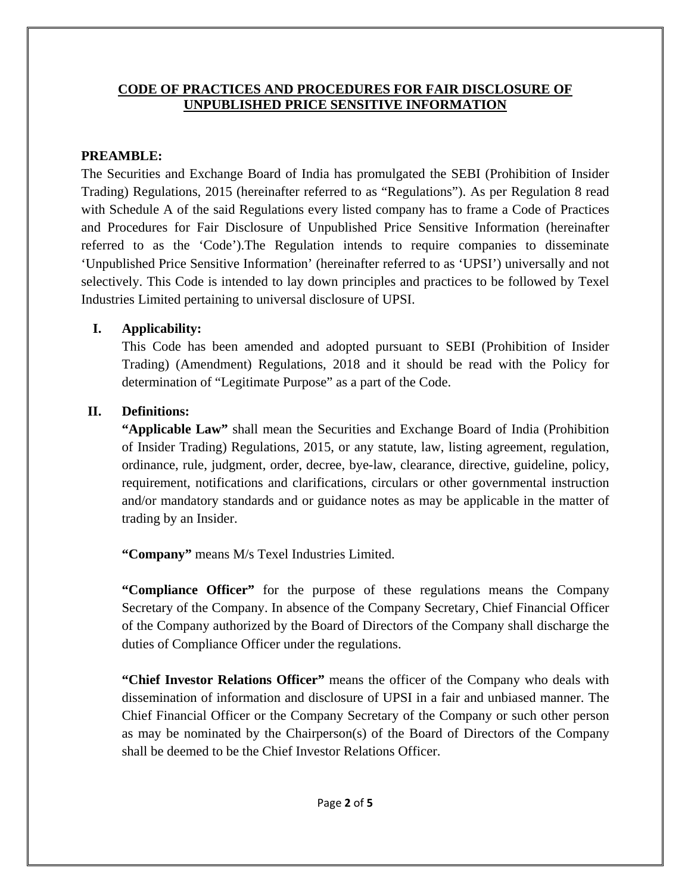#### **CODE OF PRACTICES AND PROCEDURES FOR FAIR DISCLOSURE OF UNPUBLISHED PRICE SENSITIVE INFORMATION**

## **PREAMBLE:**

The Securities and Exchange Board of India has promulgated the SEBI (Prohibition of Insider Trading) Regulations, 2015 (hereinafter referred to as "Regulations"). As per Regulation 8 read with Schedule A of the said Regulations every listed company has to frame a Code of Practices and Procedures for Fair Disclosure of Unpublished Price Sensitive Information (hereinafter referred to as the 'Code').The Regulation intends to require companies to disseminate 'Unpublished Price Sensitive Information' (hereinafter referred to as 'UPSI') universally and not selectively. This Code is intended to lay down principles and practices to be followed by Texel Industries Limited pertaining to universal disclosure of UPSI.

### **I. Applicability:**

This Code has been amended and adopted pursuant to SEBI (Prohibition of Insider Trading) (Amendment) Regulations, 2018 and it should be read with the Policy for determination of "Legitimate Purpose" as a part of the Code.

# **II. Definitions:**

**"Applicable Law"** shall mean the Securities and Exchange Board of India (Prohibition of Insider Trading) Regulations, 2015, or any statute, law, listing agreement, regulation, ordinance, rule, judgment, order, decree, bye-law, clearance, directive, guideline, policy, requirement, notifications and clarifications, circulars or other governmental instruction and/or mandatory standards and or guidance notes as may be applicable in the matter of trading by an Insider.

**"Company"** means M/s Texel Industries Limited.

**"Compliance Officer"** for the purpose of these regulations means the Company Secretary of the Company. In absence of the Company Secretary, Chief Financial Officer of the Company authorized by the Board of Directors of the Company shall discharge the duties of Compliance Officer under the regulations.

**"Chief Investor Relations Officer"** means the officer of the Company who deals with dissemination of information and disclosure of UPSI in a fair and unbiased manner. The Chief Financial Officer or the Company Secretary of the Company or such other person as may be nominated by the Chairperson(s) of the Board of Directors of the Company shall be deemed to be the Chief Investor Relations Officer.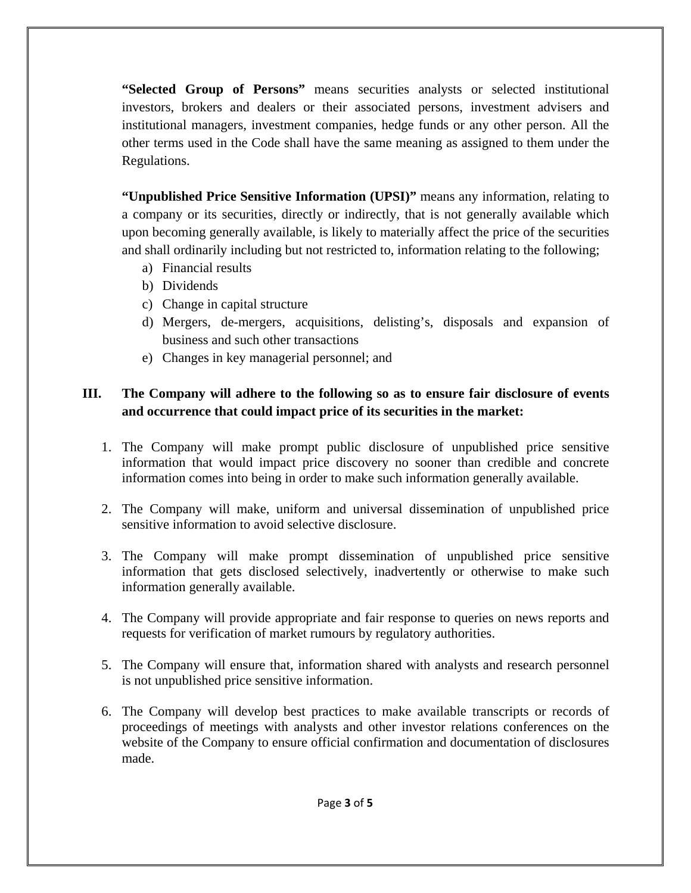**"Selected Group of Persons"** means securities analysts or selected institutional investors, brokers and dealers or their associated persons, investment advisers and institutional managers, investment companies, hedge funds or any other person. All the other terms used in the Code shall have the same meaning as assigned to them under the Regulations.

**"Unpublished Price Sensitive Information (UPSI)"** means any information, relating to a company or its securities, directly or indirectly, that is not generally available which upon becoming generally available, is likely to materially affect the price of the securities and shall ordinarily including but not restricted to, information relating to the following;

- a) Financial results
- b) Dividends
- c) Change in capital structure
- d) Mergers, de-mergers, acquisitions, delisting's, disposals and expansion of business and such other transactions
- e) Changes in key managerial personnel; and

# **III. The Company will adhere to the following so as to ensure fair disclosure of events and occurrence that could impact price of its securities in the market:**

- 1. The Company will make prompt public disclosure of unpublished price sensitive information that would impact price discovery no sooner than credible and concrete information comes into being in order to make such information generally available.
- 2. The Company will make, uniform and universal dissemination of unpublished price sensitive information to avoid selective disclosure.
- 3. The Company will make prompt dissemination of unpublished price sensitive information that gets disclosed selectively, inadvertently or otherwise to make such information generally available.
- 4. The Company will provide appropriate and fair response to queries on news reports and requests for verification of market rumours by regulatory authorities.
- 5. The Company will ensure that, information shared with analysts and research personnel is not unpublished price sensitive information.
- 6. The Company will develop best practices to make available transcripts or records of proceedings of meetings with analysts and other investor relations conferences on the website of the Company to ensure official confirmation and documentation of disclosures made.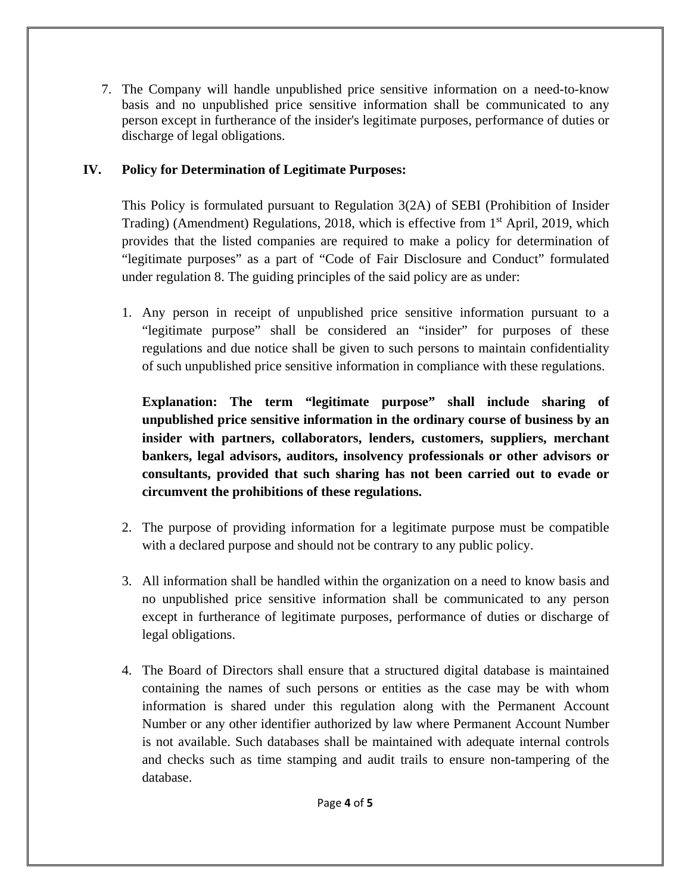7. The Company will handle unpublished price sensitive information on a need-to-know basis and no unpublished price sensitive information shall be communicated to any person except in furtherance of the insider's legitimate purposes, performance of duties or discharge of legal obligations.

# **IV. Policy for Determination of Legitimate Purposes:**

This Policy is formulated pursuant to Regulation 3(2A) of SEBI (Prohibition of Insider Trading) (Amendment) Regulations, 2018, which is effective from  $1<sup>st</sup>$  April, 2019, which provides that the listed companies are required to make a policy for determination of "legitimate purposes" as a part of "Code of Fair Disclosure and Conduct" formulated under regulation 8. The guiding principles of the said policy are as under:

1. Any person in receipt of unpublished price sensitive information pursuant to a "legitimate purpose" shall be considered an "insider" for purposes of these regulations and due notice shall be given to such persons to maintain confidentiality of such unpublished price sensitive information in compliance with these regulations.

**Explanation: The term "legitimate purpose" shall include sharing of unpublished price sensitive information in the ordinary course of business by an insider with partners, collaborators, lenders, customers, suppliers, merchant bankers, legal advisors, auditors, insolvency professionals or other advisors or consultants, provided that such sharing has not been carried out to evade or circumvent the prohibitions of these regulations.** 

- 2. The purpose of providing information for a legitimate purpose must be compatible with a declared purpose and should not be contrary to any public policy.
- 3. All information shall be handled within the organization on a need to know basis and no unpublished price sensitive information shall be communicated to any person except in furtherance of legitimate purposes, performance of duties or discharge of legal obligations.
- 4. The Board of Directors shall ensure that a structured digital database is maintained containing the names of such persons or entities as the case may be with whom information is shared under this regulation along with the Permanent Account Number or any other identifier authorized by law where Permanent Account Number is not available. Such databases shall be maintained with adequate internal controls and checks such as time stamping and audit trails to ensure non-tampering of the database.